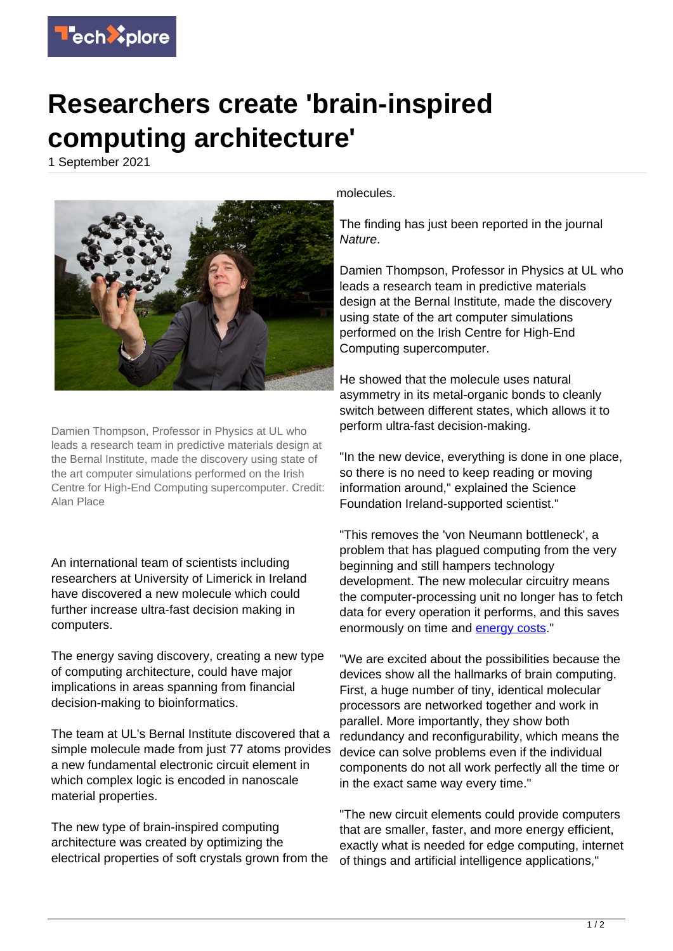

## **Researchers create 'brain-inspired computing architecture'**

1 September 2021



Damien Thompson, Professor in Physics at UL who leads a research team in predictive materials design at the Bernal Institute, made the discovery using state of the art computer simulations performed on the Irish Centre for High-End Computing supercomputer. Credit: Alan Place

An international team of scientists including researchers at University of Limerick in Ireland have discovered a new molecule which could further increase ultra-fast decision making in computers.

The energy saving discovery, creating a new type of computing architecture, could have major implications in areas spanning from financial decision-making to bioinformatics.

The team at UL's Bernal Institute discovered that a simple molecule made from just 77 atoms provides a new fundamental electronic circuit element in which complex logic is encoded in nanoscale material properties.

The new type of brain-inspired computing architecture was created by optimizing the electrical properties of soft crystals grown from the molecules.

The finding has just been reported in the journal Nature.

Damien Thompson, Professor in Physics at UL who leads a research team in predictive materials design at the Bernal Institute, made the discovery using state of the art computer simulations performed on the Irish Centre for High-End Computing supercomputer.

He showed that the molecule uses natural asymmetry in its metal-organic bonds to cleanly switch between different states, which allows it to perform ultra-fast decision-making.

"In the new device, everything is done in one place, so there is no need to keep reading or moving information around," explained the Science Foundation Ireland-supported scientist."

"This removes the 'von Neumann bottleneck', a problem that has plagued computing from the very beginning and still hampers technology development. The new molecular circuitry means the computer-processing unit no longer has to fetch data for every operation it performs, and this saves enormously on time and [energy costs](https://techxplore.com/tags/energy+costs/)."

"We are excited about the possibilities because the devices show all the hallmarks of brain computing. First, a huge number of tiny, identical molecular processors are networked together and work in parallel. More importantly, they show both redundancy and reconfigurability, which means the device can solve problems even if the individual components do not all work perfectly all the time or in the exact same way every time."

"The new circuit elements could provide computers that are smaller, faster, and more energy efficient, exactly what is needed for edge computing, internet of things and artificial intelligence applications,"